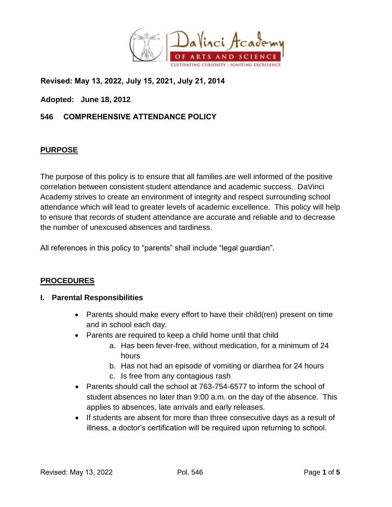

**Revised: May 13, 2022, July 15, 2021, July 21, 2014**

**Adopted: June 18, 2012** 

## **546 COMPREHENSIVE ATTENDANCE POLICY**

#### **PURPOSE**

The purpose of this policy is to ensure that all families are well informed of the positive correlation between consistent student attendance and academic success. DaVinci Academy strives to create an environment of integrity and respect surrounding school attendance which will lead to greater levels of academic excellence. This policy will help to ensure that records of student attendance are accurate and reliable and to decrease the number of unexcused absences and tardiness.

All references in this policy to "parents" shall include "legal guardian".

## **PROCEDURES**

#### **I. Parental Responsibilities**

- Parents should make every effort to have their child(ren) present on time and in school each day.
- Parents are required to keep a child home until that child
	- a. Has been fever-free, without medication, for a minimum of 24 hours
	- b. Has not had an episode of vomiting or diarrhea for 24 hours
	- c. Is free from any contagious rash
- Parents should call the school at 763-754-6577 to inform the school of student absences no later than 9:00 a.m. on the day of the absence. This applies to absences, late arrivals and early releases.
- If students are absent for more than three consecutive days as a result of illness, a doctor's certification will be required upon returning to school.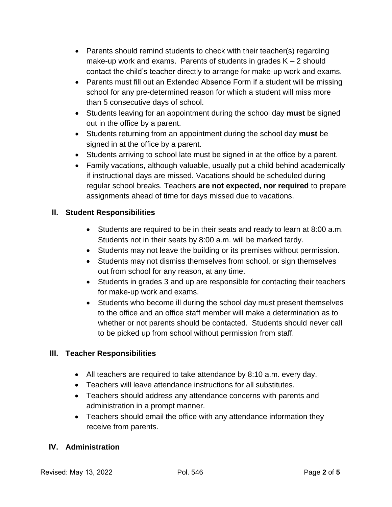- Parents should remind students to check with their teacher(s) regarding make-up work and exams. Parents of students in grades  $K - 2$  should contact the child's teacher directly to arrange for make-up work and exams.
- Parents must fill out an Extended Absence Form if a student will be missing school for any pre-determined reason for which a student will miss more than 5 consecutive days of school.
- Students leaving for an appointment during the school day **must** be signed out in the office by a parent.
- Students returning from an appointment during the school day **must** be signed in at the office by a parent.
- Students arriving to school late must be signed in at the office by a parent.
- Family vacations, although valuable, usually put a child behind academically if instructional days are missed. Vacations should be scheduled during regular school breaks. Teachers **are not expected, nor required** to prepare assignments ahead of time for days missed due to vacations.

# **II. Student Responsibilities**

- Students are required to be in their seats and ready to learn at 8:00 a.m. Students not in their seats by 8:00 a.m. will be marked tardy.
- Students may not leave the building or its premises without permission.
- Students may not dismiss themselves from school, or sign themselves out from school for any reason, at any time.
- Students in grades 3 and up are responsible for contacting their teachers for make-up work and exams.
- Students who become ill during the school day must present themselves to the office and an office staff member will make a determination as to whether or not parents should be contacted. Students should never call to be picked up from school without permission from staff.

# **III. Teacher Responsibilities**

- All teachers are required to take attendance by 8:10 a.m. every day.
- Teachers will leave attendance instructions for all substitutes.
- Teachers should address any attendance concerns with parents and administration in a prompt manner.
- Teachers should email the office with any attendance information they receive from parents.

## **IV. Administration**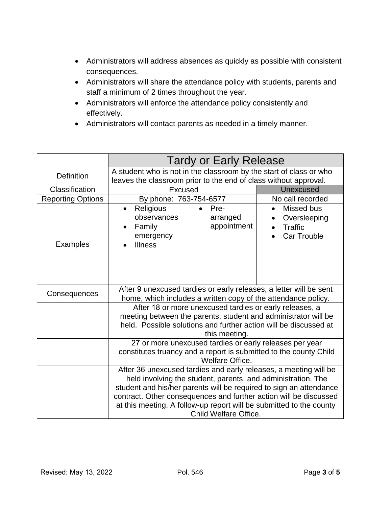- Administrators will address absences as quickly as possible with consistent consequences.
- Administrators will share the attendance policy with students, parents and staff a minimum of 2 times throughout the year.
- Administrators will enforce the attendance policy consistently and effectively.
- Administrators will contact parents as needed in a timely manner.

|                          | <b>Tardy or Early Release</b>                                                                                                                                                                                                                                                                                                                                               |                                                                          |  |
|--------------------------|-----------------------------------------------------------------------------------------------------------------------------------------------------------------------------------------------------------------------------------------------------------------------------------------------------------------------------------------------------------------------------|--------------------------------------------------------------------------|--|
| <b>Definition</b>        | A student who is not in the classroom by the start of class or who<br>leaves the classroom prior to the end of class without approval.                                                                                                                                                                                                                                      |                                                                          |  |
| Classification           | <b>Excused</b>                                                                                                                                                                                                                                                                                                                                                              | <b>Unexcused</b>                                                         |  |
| <b>Reporting Options</b> | By phone: 763-754-6577                                                                                                                                                                                                                                                                                                                                                      | No call recorded                                                         |  |
| Examples                 | Religious<br>$\bullet$ Pre-<br>$\bullet$<br>observances<br>arranged<br>appointment<br>Family<br>emergency<br><b>Illness</b>                                                                                                                                                                                                                                                 | Missed bus<br>$\bullet$<br>Oversleeping<br>Traffic<br><b>Car Trouble</b> |  |
| Consequences             | After 9 unexcused tardies or early releases, a letter will be sent<br>home, which includes a written copy of the attendance policy.                                                                                                                                                                                                                                         |                                                                          |  |
|                          | After 18 or more unexcused tardies or early releases, a<br>meeting between the parents, student and administrator will be<br>held. Possible solutions and further action will be discussed at<br>this meeting.<br>27 or more unexcused tardies or early releases per year                                                                                                   |                                                                          |  |
|                          | constitutes truancy and a report is submitted to the county Child<br>Welfare Office.                                                                                                                                                                                                                                                                                        |                                                                          |  |
|                          | After 36 unexcused tardies and early releases, a meeting will be<br>held involving the student, parents, and administration. The<br>student and his/her parents will be required to sign an attendance<br>contract. Other consequences and further action will be discussed<br>at this meeting. A follow-up report will be submitted to the county<br>Child Welfare Office. |                                                                          |  |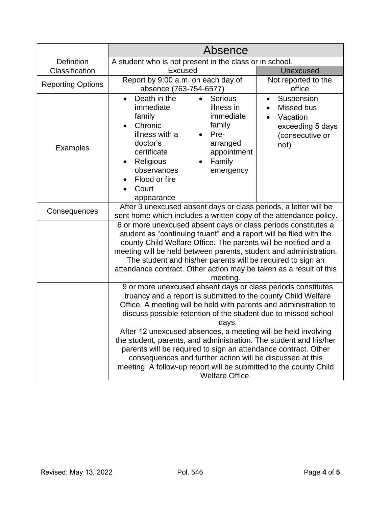|                          | Absence                                                                                                                                                                                                                                                                                                                                                                                                                       |                                                                                                  |  |
|--------------------------|-------------------------------------------------------------------------------------------------------------------------------------------------------------------------------------------------------------------------------------------------------------------------------------------------------------------------------------------------------------------------------------------------------------------------------|--------------------------------------------------------------------------------------------------|--|
| Definition               | A student who is not present in the class or in school.                                                                                                                                                                                                                                                                                                                                                                       |                                                                                                  |  |
| Classification           | <b>Excused</b>                                                                                                                                                                                                                                                                                                                                                                                                                | <b>Unexcused</b>                                                                                 |  |
| <b>Reporting Options</b> | Report by 9:00 a.m. on each day of<br>absence (763-754-6577)                                                                                                                                                                                                                                                                                                                                                                  | Not reported to the<br>office                                                                    |  |
| <b>Examples</b>          | Death in the<br><b>Serious</b><br>$\bullet$<br>immediate<br>illness in<br>immediate<br>family<br>family<br>Chronic<br>illness with a<br>Pre-<br>doctor's<br>arranged<br>certificate<br>appointment<br>Religious<br>Family<br>$\bullet$<br>observances<br>emergency<br>Flood or fire<br>Court<br>appearance                                                                                                                    | Suspension<br>$\bullet$<br>Missed bus<br>Vacation<br>exceeding 5 days<br>(consecutive or<br>not) |  |
| Consequences             | After 3 unexcused absent days or class periods, a letter will be<br>sent home which includes a written copy of the attendance policy.                                                                                                                                                                                                                                                                                         |                                                                                                  |  |
|                          | 6 or more unexcused absent days or class periods constitutes a<br>student as "continuing truant" and a report will be filed with the<br>county Child Welfare Office. The parents will be notified and a<br>meeting will be held between parents, student and administration.<br>The student and his/her parents will be required to sign an<br>attendance contract. Other action may be taken as a result of this<br>meeting. |                                                                                                  |  |
|                          | 9 or more unexcused absent days or class periods constitutes<br>truancy and a report is submitted to the county Child Welfare<br>Office. A meeting will be held with parents and administration to<br>discuss possible retention of the student due to missed school<br>days.                                                                                                                                                 |                                                                                                  |  |
|                          | After 12 unexcused absences, a meeting will be held involving<br>the student, parents, and administration. The student and his/her<br>parents will be required to sign an attendance contract. Other<br>consequences and further action will be discussed at this<br>meeting. A follow-up report will be submitted to the county Child<br>Welfare Office.                                                                     |                                                                                                  |  |